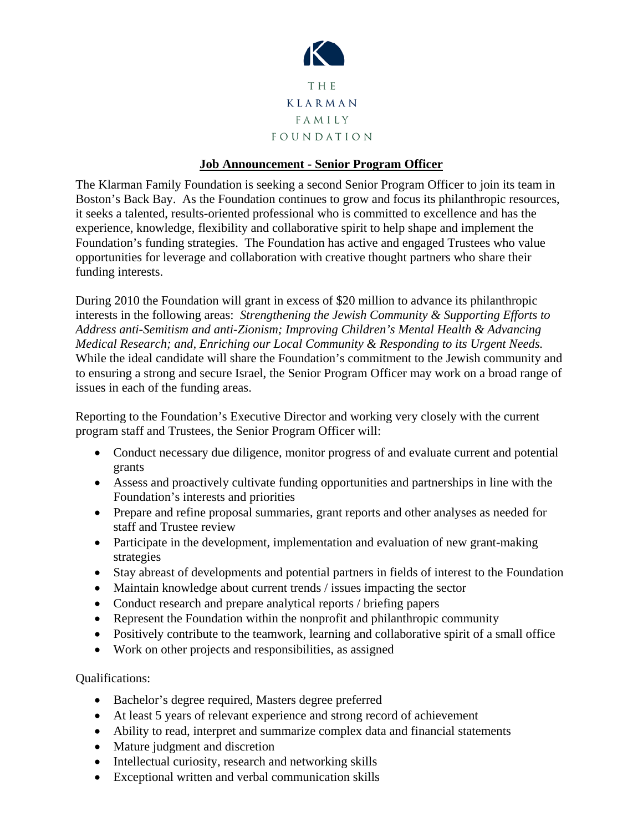

## **Job Announcement - Senior Program Officer**

The Klarman Family Foundation is seeking a second Senior Program Officer to join its team in Boston's Back Bay. As the Foundation continues to grow and focus its philanthropic resources, it seeks a talented, results-oriented professional who is committed to excellence and has the experience, knowledge, flexibility and collaborative spirit to help shape and implement the Foundation's funding strategies. The Foundation has active and engaged Trustees who value opportunities for leverage and collaboration with creative thought partners who share their funding interests.

During 2010 the Foundation will grant in excess of \$20 million to advance its philanthropic interests in the following areas: *Strengthening the Jewish Community & Supporting Efforts to Address anti-Semitism and anti-Zionism; Improving Children's Mental Health & Advancing Medical Research; and, Enriching our Local Community & Responding to its Urgent Needs.* While the ideal candidate will share the Foundation's commitment to the Jewish community and to ensuring a strong and secure Israel, the Senior Program Officer may work on a broad range of issues in each of the funding areas.

Reporting to the Foundation's Executive Director and working very closely with the current program staff and Trustees, the Senior Program Officer will:

- Conduct necessary due diligence, monitor progress of and evaluate current and potential grants
- Assess and proactively cultivate funding opportunities and partnerships in line with the Foundation's interests and priorities
- Prepare and refine proposal summaries, grant reports and other analyses as needed for staff and Trustee review
- Participate in the development, implementation and evaluation of new grant-making strategies
- Stay abreast of developments and potential partners in fields of interest to the Foundation
- Maintain knowledge about current trends / issues impacting the sector
- Conduct research and prepare analytical reports / briefing papers
- Represent the Foundation within the nonprofit and philanthropic community
- Positively contribute to the teamwork, learning and collaborative spirit of a small office
- Work on other projects and responsibilities, as assigned

## Qualifications:

- Bachelor's degree required, Masters degree preferred
- At least 5 years of relevant experience and strong record of achievement
- Ability to read, interpret and summarize complex data and financial statements
- Mature judgment and discretion
- Intellectual curiosity, research and networking skills
- Exceptional written and verbal communication skills